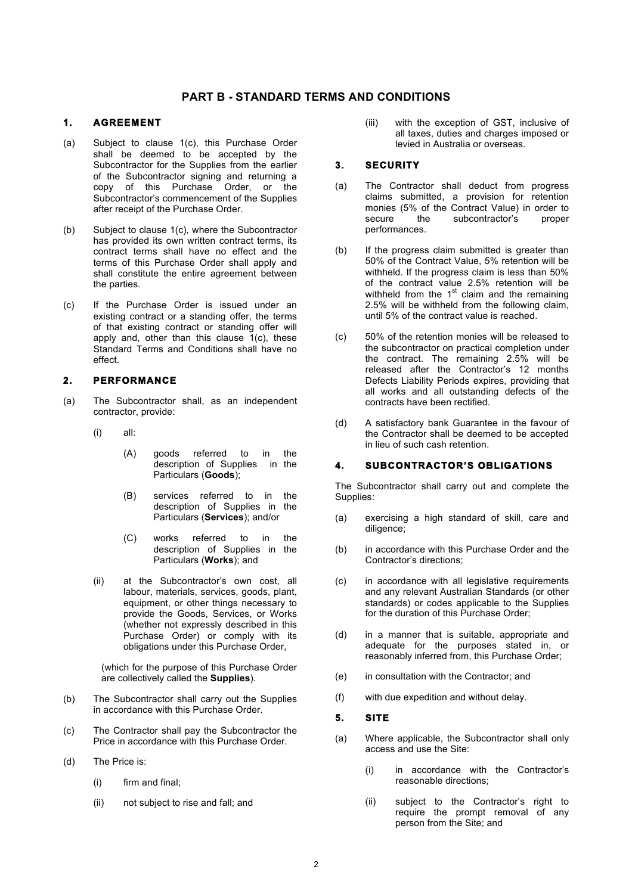# **PART B - STANDARD TERMS AND CONDITIONS**

#### **1. AGREEMENT**

- (a) Subject to clause 1(c), this Purchase Order shall be deemed to be accepted by the Subcontractor for the Supplies from the earlier of the Subcontractor signing and returning a copy of this Purchase Order, or the Subcontractor's commencement of the Supplies after receipt of the Purchase Order.
- (b) Subject to clause 1(c), where the Subcontractor has provided its own written contract terms, its contract terms shall have no effect and the terms of this Purchase Order shall apply and shall constitute the entire agreement between the parties.
- (c) If the Purchase Order is issued under an existing contract or a standing offer, the terms of that existing contract or standing offer will apply and, other than this clause  $1(c)$ , these Standard Terms and Conditions shall have no effect.

# **2. PERFORMANCE**

- (a) The Subcontractor shall, as an independent contractor, provide:
	- (i) all:
		- (A) goods referred to in the description of Supplies in the Particulars (**Goods**);
		- (B) services referred to in the description of Supplies in the Particulars (**Services**); and/or
		- (C) works referred to in the description of Supplies in the Particulars (**Works**); and
	- (ii) at the Subcontractor's own cost, all labour, materials, services, goods, plant, equipment, or other things necessary to provide the Goods, Services, or Works (whether not expressly described in this Purchase Order) or comply with its obligations under this Purchase Order,

(which for the purpose of this Purchase Order are collectively called the **Supplies**).

- (b) The Subcontractor shall carry out the Supplies in accordance with this Purchase Order.
- (c) The Contractor shall pay the Subcontractor the Price in accordance with this Purchase Order.
- (d) The Price is:
	- (i) firm and final;
	- (ii) not subject to rise and fall; and

(iii) with the exception of GST, inclusive of all taxes, duties and charges imposed or levied in Australia or overseas.

# **3. SECURITY**

- (a) The Contractor shall deduct from progress claims submitted, a provision for retention monies (5% of the Contract Value) in order to<br>secure the subcontractor's proper subcontractor's proper performances.
- (b) If the progress claim submitted is greater than 50% of the Contract Value, 5% retention will be withheld. If the progress claim is less than 50% of the contract value 2.5% retention will be withheld from the  $1<sup>st</sup>$  claim and the remaining 2.5% will be withheld from the following claim, until 5% of the contract value is reached.
- (c) 50% of the retention monies will be released to the subcontractor on practical completion under the contract. The remaining 2.5% will be released after the Contractor's 12 months Defects Liability Periods expires, providing that all works and all outstanding defects of the contracts have been rectified.
- (d) A satisfactory bank Guarantee in the favour of the Contractor shall be deemed to be accepted in lieu of such cash retention.

### **4. SUBCONTRACTOR'S OBLIGATIONS**

The Subcontractor shall carry out and complete the Supplies:

- (a) exercising a high standard of skill, care and diligence;
- (b) in accordance with this Purchase Order and the Contractor's directions;
- (c) in accordance with all legislative requirements and any relevant Australian Standards (or other standards) or codes applicable to the Supplies for the duration of this Purchase Order;
- (d) in a manner that is suitable, appropriate and adequate for the purposes stated in, or reasonably inferred from, this Purchase Order;
- (e) in consultation with the Contractor; and
- (f) with due expedition and without delay.

#### **5. SITE**

- (a) Where applicable, the Subcontractor shall only access and use the Site:
	- (i) in accordance with the Contractor's reasonable directions;
	- (ii) subject to the Contractor's right to require the prompt removal of any person from the Site; and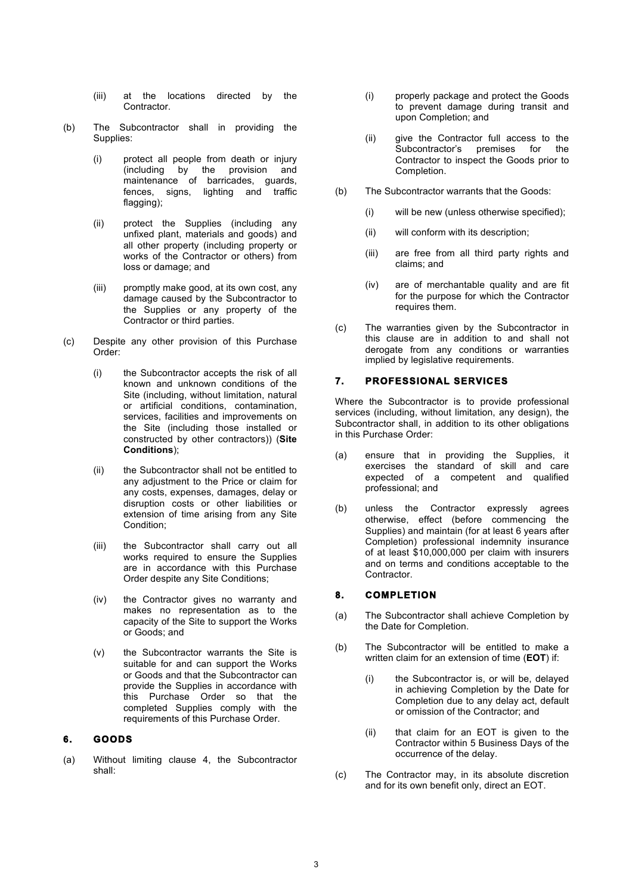- (iii) at the locations directed by the **Contractor**
- (b) The Subcontractor shall in providing the Supplies:
	- (i) protect all people from death or injury (including by the provision and maintenance of barricades, guards, fences, signs, lighting and traffic flagging);
	- (ii) protect the Supplies (including any unfixed plant, materials and goods) and all other property (including property or works of the Contractor or others) from loss or damage; and
	- (iii) promptly make good, at its own cost, any damage caused by the Subcontractor to the Supplies or any property of the Contractor or third parties.
- (c) Despite any other provision of this Purchase Order:
	- (i) the Subcontractor accepts the risk of all known and unknown conditions of the Site (including, without limitation, natural or artificial conditions, contamination, services, facilities and improvements on the Site (including those installed or constructed by other contractors)) (**Site Conditions**);
	- (ii) the Subcontractor shall not be entitled to any adjustment to the Price or claim for any costs, expenses, damages, delay or disruption costs or other liabilities or extension of time arising from any Site Condition;
	- (iii) the Subcontractor shall carry out all works required to ensure the Supplies are in accordance with this Purchase Order despite any Site Conditions;
	- (iv) the Contractor gives no warranty and makes no representation as to the capacity of the Site to support the Works or Goods; and
	- (v) the Subcontractor warrants the Site is suitable for and can support the Works or Goods and that the Subcontractor can provide the Supplies in accordance with this Purchase Order so that the completed Supplies comply with the requirements of this Purchase Order.

### **6. GOODS**

(a) Without limiting clause 4, the Subcontractor shall:

- (i) properly package and protect the Goods to prevent damage during transit and upon Completion; and
- (ii) give the Contractor full access to the Subcontractor's premises for the Contractor to inspect the Goods prior to Completion.
- (b) The Subcontractor warrants that the Goods:
	- (i) will be new (unless otherwise specified);
	- (ii) will conform with its description;
	- (iii) are free from all third party rights and claims; and
	- (iv) are of merchantable quality and are fit for the purpose for which the Contractor requires them.
- (c) The warranties given by the Subcontractor in this clause are in addition to and shall not derogate from any conditions or warranties implied by legislative requirements.

# **7. PROFESSIONAL SERVICES**

Where the Subcontractor is to provide professional services (including, without limitation, any design), the Subcontractor shall, in addition to its other obligations in this Purchase Order:

- (a) ensure that in providing the Supplies, it exercises the standard of skill and care expected of a competent and qualified professional; and
- (b) unless the Contractor expressly agrees otherwise, effect (before commencing the Supplies) and maintain (for at least 6 years after Completion) professional indemnity insurance of at least \$10,000,000 per claim with insurers and on terms and conditions acceptable to the Contractor.

### **8. COMPLETION**

- (a) The Subcontractor shall achieve Completion by the Date for Completion.
- (b) The Subcontractor will be entitled to make a written claim for an extension of time (**EOT**) if:
	- (i) the Subcontractor is, or will be, delayed in achieving Completion by the Date for Completion due to any delay act, default or omission of the Contractor; and
	- (ii) that claim for an EOT is given to the Contractor within 5 Business Days of the occurrence of the delay.
- (c) The Contractor may, in its absolute discretion and for its own benefit only, direct an EOT.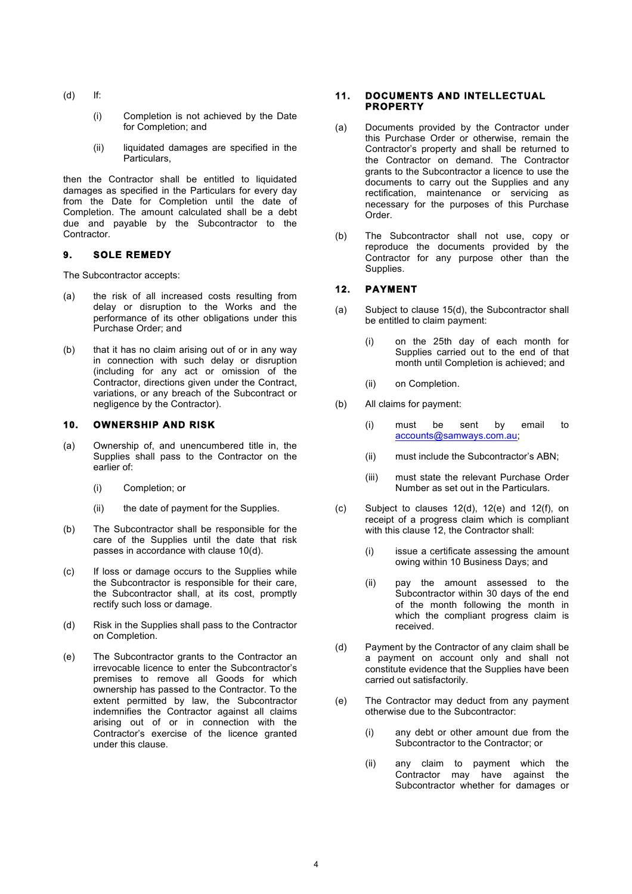- (d) If:
	- (i) Completion is not achieved by the Date for Completion; and
	- (ii) liquidated damages are specified in the Particulars,

then the Contractor shall be entitled to liquidated damages as specified in the Particulars for every day from the Date for Completion until the date of Completion. The amount calculated shall be a debt due and payable by the Subcontractor to the Contractor.

# **9. SOLE REMEDY**

The Subcontractor accepts:

- (a) the risk of all increased costs resulting from delay or disruption to the Works and the performance of its other obligations under this Purchase Order; and
- (b) that it has no claim arising out of or in any way in connection with such delay or disruption (including for any act or omission of the Contractor, directions given under the Contract, variations, or any breach of the Subcontract or negligence by the Contractor).

# **10. OWNERSHIP AND RISK**

- (a) Ownership of, and unencumbered title in, the Supplies shall pass to the Contractor on the earlier of:
	- (i) Completion; or
	- (ii) the date of payment for the Supplies.
- (b) The Subcontractor shall be responsible for the care of the Supplies until the date that risk passes in accordance with clause 10(d).
- (c) If loss or damage occurs to the Supplies while the Subcontractor is responsible for their care, the Subcontractor shall, at its cost, promptly rectify such loss or damage.
- (d) Risk in the Supplies shall pass to the Contractor on Completion.
- (e) The Subcontractor grants to the Contractor an irrevocable licence to enter the Subcontractor's premises to remove all Goods for which ownership has passed to the Contractor. To the extent permitted by law, the Subcontractor indemnifies the Contractor against all claims arising out of or in connection with the Contractor's exercise of the licence granted under this clause.

#### **11. DOCUMENTS AND INTELLECTUAL PROPERTY**

- (a) Documents provided by the Contractor under this Purchase Order or otherwise, remain the Contractor's property and shall be returned to the Contractor on demand. The Contractor grants to the Subcontractor a licence to use the documents to carry out the Supplies and any rectification, maintenance or servicing as necessary for the purposes of this Purchase Order.
- (b) The Subcontractor shall not use, copy or reproduce the documents provided by the Contractor for any purpose other than the Supplies.

# **12. PAYMENT**

- (a) Subject to clause 15(d), the Subcontractor shall be entitled to claim payment:
	- (i) on the 25th day of each month for Supplies carried out to the end of that month until Completion is achieved; and
	- (ii) on Completion.
- (b) All claims for payment:
	- (i) must be sent by email to accounts@samways.com.au;
	- (ii) must include the Subcontractor's ABN;
	- (iii) must state the relevant Purchase Order Number as set out in the Particulars.
- (c) Subject to clauses 12(d), 12(e) and 12(f), on receipt of a progress claim which is compliant with this clause 12, the Contractor shall:
	- (i) issue a certificate assessing the amount owing within 10 Business Days; and
	- (ii) pay the amount assessed to the Subcontractor within 30 days of the end of the month following the month in which the compliant progress claim is received.
- (d) Payment by the Contractor of any claim shall be a payment on account only and shall not constitute evidence that the Supplies have been carried out satisfactorily.
- (e) The Contractor may deduct from any payment otherwise due to the Subcontractor:
	- (i) any debt or other amount due from the Subcontractor to the Contractor; or
	- (ii) any claim to payment which the Contractor may have against the Subcontractor whether for damages or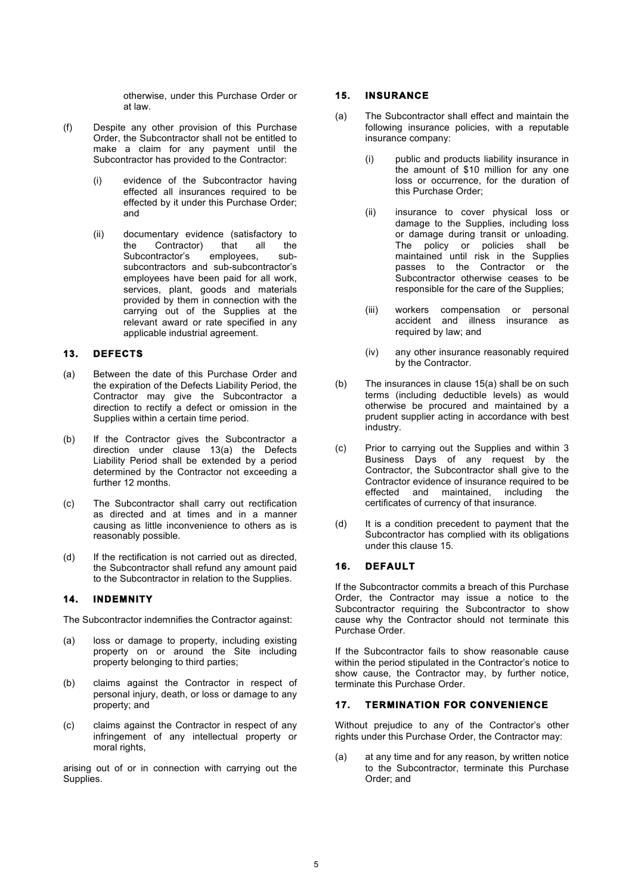otherwise, under this Purchase Order or at law.

- (f) Despite any other provision of this Purchase Order, the Subcontractor shall not be entitled to make a claim for any payment until the Subcontractor has provided to the Contractor:
	- (i) evidence of the Subcontractor having effected all insurances required to be effected by it under this Purchase Order; and
	- (ii) documentary evidence (satisfactory to the Contractor) that all the Subcontractor's employees, subsubcontractors and sub-subcontractor's employees have been paid for all work, services, plant, goods and materials provided by them in connection with the carrying out of the Supplies at the relevant award or rate specified in any applicable industrial agreement.

## **13. DEFECTS**

- (a) Between the date of this Purchase Order and the expiration of the Defects Liability Period, the Contractor may give the Subcontractor a direction to rectify a defect or omission in the Supplies within a certain time period.
- (b) If the Contractor gives the Subcontractor a direction under clause 13(a) the Defects Liability Period shall be extended by a period determined by the Contractor not exceeding a further 12 months.
- (c) The Subcontractor shall carry out rectification as directed and at times and in a manner causing as little inconvenience to others as is reasonably possible.
- (d) If the rectification is not carried out as directed, the Subcontractor shall refund any amount paid to the Subcontractor in relation to the Supplies.

## **14. INDEMNITY**

The Subcontractor indemnifies the Contractor against:

- (a) loss or damage to property, including existing property on or around the Site including property belonging to third parties;
- (b) claims against the Contractor in respect of personal injury, death, or loss or damage to any property; and
- (c) claims against the Contractor in respect of any infringement of any intellectual property or moral rights,

arising out of or in connection with carrying out the Supplies.

### **15. INSURANCE**

- (a) The Subcontractor shall effect and maintain the following insurance policies, with a reputable insurance company:
	- (i) public and products liability insurance in the amount of \$10 million for any one loss or occurrence, for the duration of this Purchase Order;
	- (ii) insurance to cover physical loss or damage to the Supplies, including loss or damage during transit or unloading. The policy or policies shall be maintained until risk in the Supplies passes to the Contractor or the Subcontractor otherwise ceases to be responsible for the care of the Supplies;
	- (iii) workers compensation or personal accident and illness insurance as required by law; and
	- (iv) any other insurance reasonably required by the Contractor.
- (b) The insurances in clause 15(a) shall be on such terms (including deductible levels) as would otherwise be procured and maintained by a prudent supplier acting in accordance with best industry.
- (c) Prior to carrying out the Supplies and within 3 Business Days of any request by the Contractor, the Subcontractor shall give to the Contractor evidence of insurance required to be effected and maintained, including the certificates of currency of that insurance.
- (d) It is a condition precedent to payment that the Subcontractor has complied with its obligations under this clause 15.

### **16. DEFAULT**

If the Subcontractor commits a breach of this Purchase Order, the Contractor may issue a notice to the Subcontractor requiring the Subcontractor to show cause why the Contractor should not terminate this Purchase Order.

If the Subcontractor fails to show reasonable cause within the period stipulated in the Contractor's notice to show cause, the Contractor may, by further notice, terminate this Purchase Order.

## **17. TERMINATION FOR CONVENIENCE**

Without prejudice to any of the Contractor's other rights under this Purchase Order, the Contractor may:

(a) at any time and for any reason, by written notice to the Subcontractor, terminate this Purchase Order; and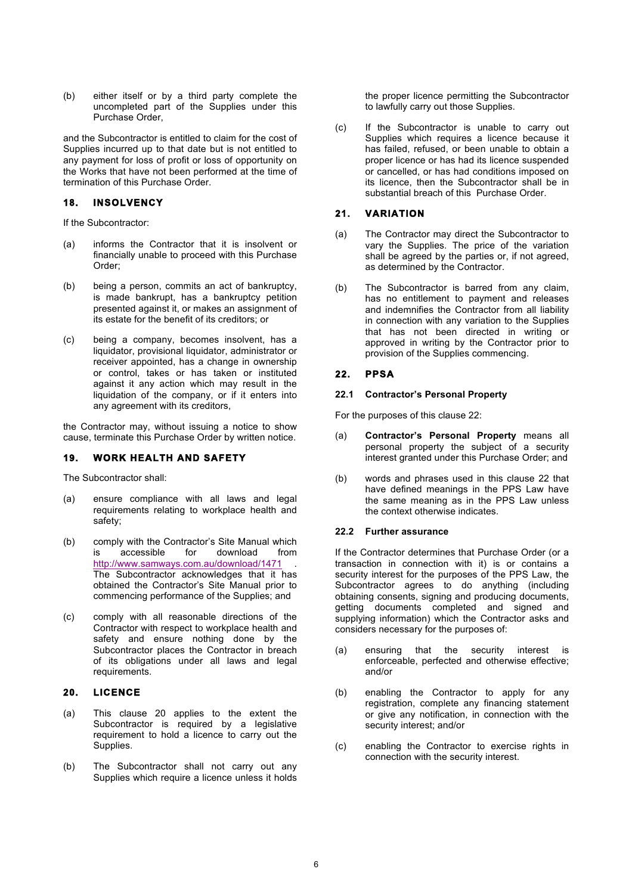(b) either itself or by a third party complete the uncompleted part of the Supplies under this Purchase Order,

and the Subcontractor is entitled to claim for the cost of Supplies incurred up to that date but is not entitled to any payment for loss of profit or loss of opportunity on the Works that have not been performed at the time of termination of this Purchase Order.

## **18. INSOLVENCY**

If the Subcontractor:

- (a) informs the Contractor that it is insolvent or financially unable to proceed with this Purchase Order;
- (b) being a person, commits an act of bankruptcy, is made bankrupt, has a bankruptcy petition presented against it, or makes an assignment of its estate for the benefit of its creditors; or
- (c) being a company, becomes insolvent, has a liquidator, provisional liquidator, administrator or receiver appointed, has a change in ownership or control, takes or has taken or instituted against it any action which may result in the liquidation of the company, or if it enters into any agreement with its creditors,

the Contractor may, without issuing a notice to show cause, terminate this Purchase Order by written notice.

### **19. WORK HEALTH AND SAFETY**

The Subcontractor shall:

- (a) ensure compliance with all laws and legal requirements relating to workplace health and safety;
- (b) comply with the Contractor's Site Manual which is accessible for download from http://www.samways.com.au/download/1471 . The Subcontractor acknowledges that it has obtained the Contractor's Site Manual prior to commencing performance of the Supplies; and
- (c) comply with all reasonable directions of the Contractor with respect to workplace health and safety and ensure nothing done by the Subcontractor places the Contractor in breach of its obligations under all laws and legal requirements.

### **20. LICENCE**

- (a) This clause 20 applies to the extent the Subcontractor is required by a legislative requirement to hold a licence to carry out the Supplies.
- (b) The Subcontractor shall not carry out any Supplies which require a licence unless it holds

the proper licence permitting the Subcontractor to lawfully carry out those Supplies.

(c) If the Subcontractor is unable to carry out Supplies which requires a licence because it has failed, refused, or been unable to obtain a proper licence or has had its licence suspended or cancelled, or has had conditions imposed on its licence, then the Subcontractor shall be in substantial breach of this Purchase Order.

# **21. VARIATION**

- (a) The Contractor may direct the Subcontractor to vary the Supplies. The price of the variation shall be agreed by the parties or, if not agreed, as determined by the Contractor.
- (b) The Subcontractor is barred from any claim, has no entitlement to payment and releases and indemnifies the Contractor from all liability in connection with any variation to the Supplies that has not been directed in writing or approved in writing by the Contractor prior to provision of the Supplies commencing.

# **22. PPSA**

#### **22.1 Contractor's Personal Property**

For the purposes of this clause 22:

- (a) **Contractor's Personal Property** means all personal property the subject of a security interest granted under this Purchase Order; and
- (b) words and phrases used in this clause 22 that have defined meanings in the PPS Law have the same meaning as in the PPS Law unless the context otherwise indicates.

#### **22.2 Further assurance**

If the Contractor determines that Purchase Order (or a transaction in connection with it) is or contains a security interest for the purposes of the PPS Law, the Subcontractor agrees to do anything (including obtaining consents, signing and producing documents, getting documents completed and signed and supplying information) which the Contractor asks and considers necessary for the purposes of:

- (a) ensuring that the security interest is enforceable, perfected and otherwise effective; and/or
- (b) enabling the Contractor to apply for any registration, complete any financing statement or give any notification, in connection with the security interest; and/or
- (c) enabling the Contractor to exercise rights in connection with the security interest.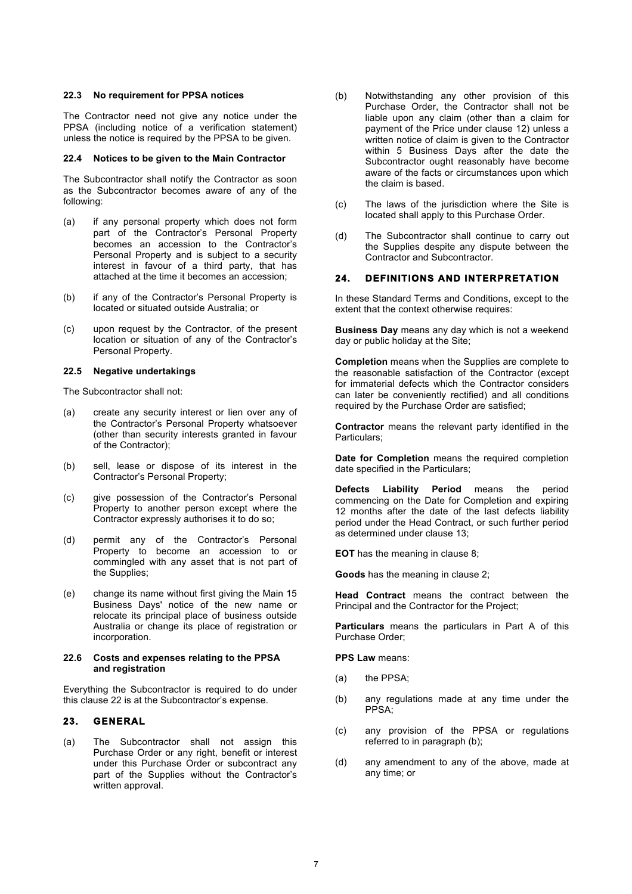#### **22.3 No requirement for PPSA notices**

The Contractor need not give any notice under the PPSA (including notice of a verification statement) unless the notice is required by the PPSA to be given.

#### **22.4 Notices to be given to the Main Contractor**

The Subcontractor shall notify the Contractor as soon as the Subcontractor becomes aware of any of the following:

- (a) if any personal property which does not form part of the Contractor's Personal Property becomes an accession to the Contractor's Personal Property and is subject to a security interest in favour of a third party, that has attached at the time it becomes an accession;
- (b) if any of the Contractor's Personal Property is located or situated outside Australia; or
- (c) upon request by the Contractor, of the present location or situation of any of the Contractor's Personal Property.

#### **22.5 Negative undertakings**

The Subcontractor shall not:

- (a) create any security interest or lien over any of the Contractor's Personal Property whatsoever (other than security interests granted in favour of the Contractor);
- (b) sell, lease or dispose of its interest in the Contractor's Personal Property;
- (c) give possession of the Contractor's Personal Property to another person except where the Contractor expressly authorises it to do so;
- (d) permit any of the Contractor's Personal Property to become an accession to or commingled with any asset that is not part of the Supplies;
- (e) change its name without first giving the Main 15 Business Days' notice of the new name or relocate its principal place of business outside Australia or change its place of registration or incorporation.

#### **22.6 Costs and expenses relating to the PPSA and registration**

Everything the Subcontractor is required to do under this clause 22 is at the Subcontractor's expense.

### **23. GENERAL**

(a) The Subcontractor shall not assign this Purchase Order or any right, benefit or interest under this Purchase Order or subcontract any part of the Supplies without the Contractor's written approval.

- (b) Notwithstanding any other provision of this Purchase Order, the Contractor shall not be liable upon any claim (other than a claim for payment of the Price under clause 12) unless a written notice of claim is given to the Contractor within 5 Business Days after the date the Subcontractor ought reasonably have become aware of the facts or circumstances upon which the claim is based.
- (c) The laws of the jurisdiction where the Site is located shall apply to this Purchase Order.
- (d) The Subcontractor shall continue to carry out the Supplies despite any dispute between the Contractor and Subcontractor.

#### **24. DEFINITIONS AND INTERPRETATION**

In these Standard Terms and Conditions, except to the extent that the context otherwise requires:

**Business Day** means any day which is not a weekend day or public holiday at the Site;

**Completion** means when the Supplies are complete to the reasonable satisfaction of the Contractor (except for immaterial defects which the Contractor considers can later be conveniently rectified) and all conditions required by the Purchase Order are satisfied;

**Contractor** means the relevant party identified in the Particulars;

**Date for Completion** means the required completion date specified in the Particulars;

**Defects Liability Period** means the period commencing on the Date for Completion and expiring 12 months after the date of the last defects liability period under the Head Contract, or such further period as determined under clause 13;

**EOT** has the meaning in clause 8;

**Goods** has the meaning in clause 2;

**Head Contract** means the contract between the Principal and the Contractor for the Project;

**Particulars** means the particulars in Part A of this Purchase Order;

**PPS Law** means:

- (a) the PPSA;
- (b) any regulations made at any time under the PPSA;
- (c) any provision of the PPSA or regulations referred to in paragraph (b);
- (d) any amendment to any of the above, made at any time; or